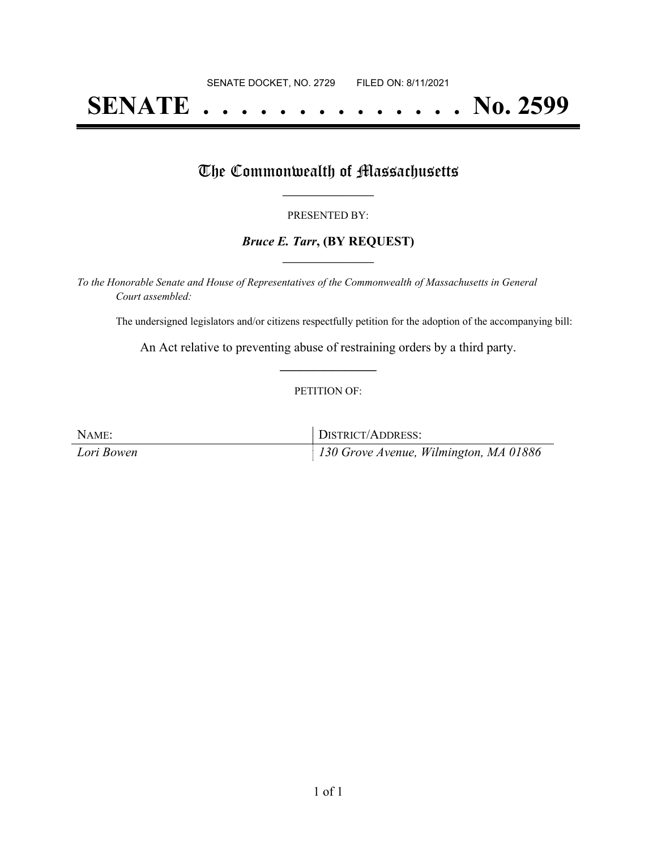# **SENATE . . . . . . . . . . . . . . No. 2599**

### The Commonwealth of Massachusetts

#### PRESENTED BY:

#### *Bruce E. Tarr***, (BY REQUEST) \_\_\_\_\_\_\_\_\_\_\_\_\_\_\_\_\_**

*To the Honorable Senate and House of Representatives of the Commonwealth of Massachusetts in General Court assembled:*

The undersigned legislators and/or citizens respectfully petition for the adoption of the accompanying bill:

An Act relative to preventing abuse of restraining orders by a third party. **\_\_\_\_\_\_\_\_\_\_\_\_\_\_\_**

#### PETITION OF:

| NAME:      | DISTRICT/ADDRESS:                      |
|------------|----------------------------------------|
| Lori Bowen | 130 Grove Avenue, Wilmington, MA 01886 |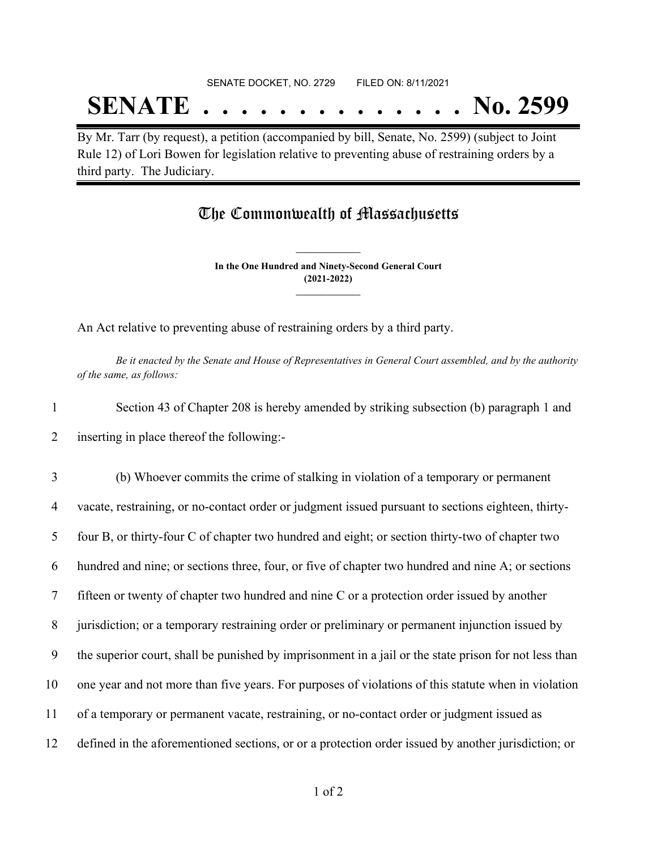# SENATE DOCKET, NO. 2729 FILED ON: 8/11/2021 **SENATE . . . . . . . . . . . . . . No. 2599**

By Mr. Tarr (by request), a petition (accompanied by bill, Senate, No. 2599) (subject to Joint Rule 12) of Lori Bowen for legislation relative to preventing abuse of restraining orders by a third party. The Judiciary.

## The Commonwealth of Massachusetts

**In the One Hundred and Ninety-Second General Court (2021-2022) \_\_\_\_\_\_\_\_\_\_\_\_\_\_\_**

**\_\_\_\_\_\_\_\_\_\_\_\_\_\_\_**

An Act relative to preventing abuse of restraining orders by a third party.

Be it enacted by the Senate and House of Representatives in General Court assembled, and by the authority *of the same, as follows:*

1 Section 43 of Chapter 208 is hereby amended by striking subsection (b) paragraph 1 and 2 inserting in place thereof the following:-

 (b) Whoever commits the crime of stalking in violation of a temporary or permanent vacate, restraining, or no-contact order or judgment issued pursuant to sections eighteen, thirty- four B, or thirty-four C of chapter two hundred and eight; or section thirty-two of chapter two hundred and nine; or sections three, four, or five of chapter two hundred and nine A; or sections fifteen or twenty of chapter two hundred and nine C or a protection order issued by another jurisdiction; or a temporary restraining order or preliminary or permanent injunction issued by the superior court, shall be punished by imprisonment in a jail or the state prison for not less than one year and not more than five years. For purposes of violations of this statute when in violation of a temporary or permanent vacate, restraining, or no-contact order or judgment issued as defined in the aforementioned sections, or or a protection order issued by another jurisdiction; or